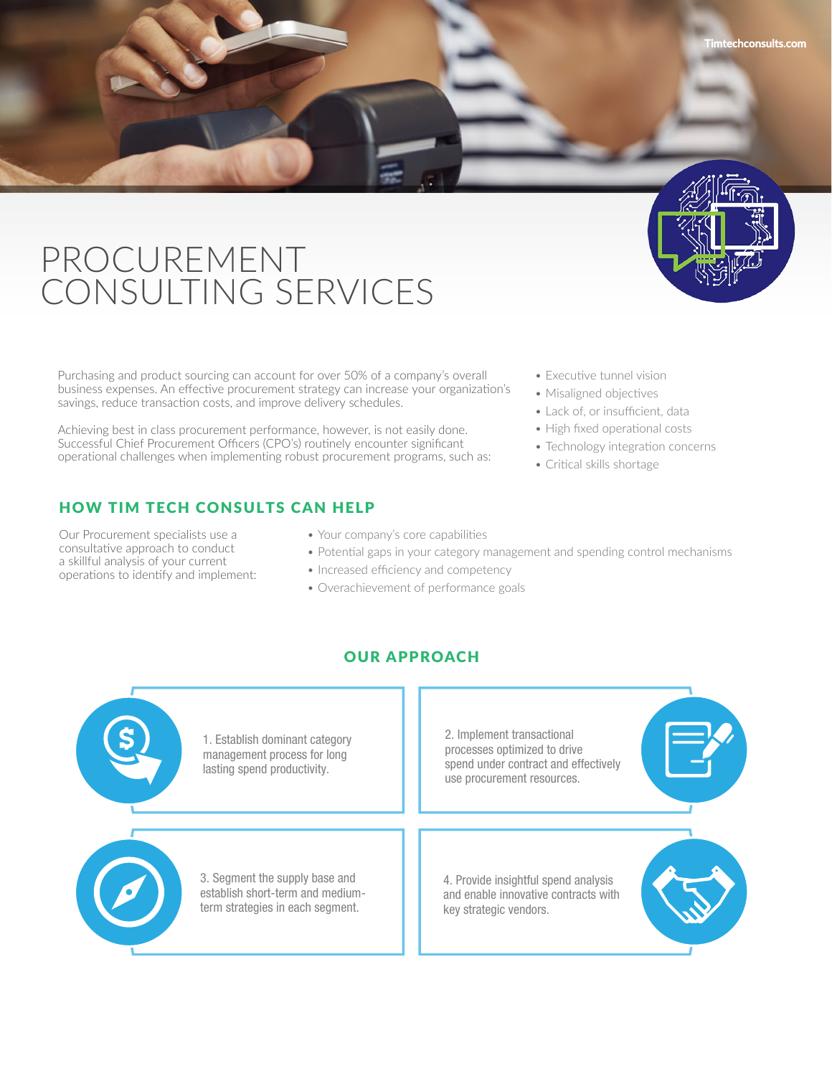

Purchasing and product sourcing can account for over 50% of a company's overall business expenses. An effective procurement strategy can increase your organization's savings, reduce transaction costs, and improve delivery schedules.

Achieving best in class procurement performance, however, is not easily done. Successful Chief Procurement Officers (CPO's) routinely encounter significant operational challenges when implementing robust procurement programs, such as:

# HOW TIM TECH CONSULTS CAN HELP

Our Procurement specialists use a consultative approach to conduct a skillful analysis of your current operations to identify and implement:

- Your company's core capabilities
- Potential gaps in your category management and spending control mechanisms
- Increased efficiency and competency
- Overachievement of performance goals

### OUR APPROACH



- Executive tunnel vision
- Misaligned objectives
- Lack of, or insufficient, data
- High fixed operational costs
- Technology integration concerns
- Critical skills shortage

**Timtechconsults.com**